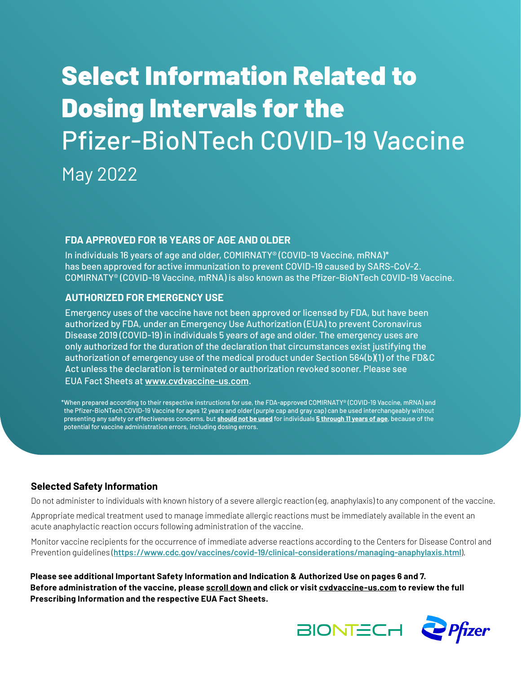# Select Information Related to Dosing Intervals for the Pfizer-BioNTech COVID-19 Vaccine May 2022

### **FDA APPROVED FOR 16 YEARS OF AGE AND OLDER**

In individuals 16 years of age and older, COMIRNATY® (COVID-19 Vaccine, mRNA)\* has been approved for active immunization to prevent COVID-19 caused by SARS-CoV-2. COMIRNATY® (COVID-19 Vaccine, mRNA) is also known as the Pfizer-BioNTech COVID-19 Vaccine.

### **AUTHORIZED FOR EMERGENCY USE**

Emergency uses of the vaccine have not been approved or licensed by FDA, but have been authorized by FDA, under an Emergency Use Authorization (EUA) to prevent Coronavirus Disease 2019 (COVID-19) in individuals 5 years of age and older. The emergency uses are only authorized for the duration of the declaration that circumstances exist justifying the authorization of emergency use of the medical product under Section 564(b)(1) of the FD&C Act unless the declaration is terminated or authorization revoked sooner. Please see EUA Fact Sheets at **[www.cvdvaccine-us.com](http://www.cvdvaccine-us.com)**.

\*When prepared according to their respective instructions for use, the FDA-approved COMIRNATY® (COVID-19 Vaccine, mRNA) and the Pfizer-BioNTech COVID-19 Vaccine for ages 12 years and older (purple cap and gray cap) can be used interchangeably without presenting any safety or effectiveness concerns, but **should not be used** for individuals **5 through 11 years of age**, because of the potential for vaccine administration errors, including dosing errors.

### **Selected Safety Information**

Do not administer to individuals with known history of a severe allergic reaction (eg, anaphylaxis) to any component of the vaccine.

Appropriate medical treatment used to manage immediate allergic reactions must be immediately available in the event an acute anaphylactic reaction occurs following administration of the vaccine.

Monitor vaccine recipients for the occurrence of immediate adverse reactions according to the Centers for Disease Control and Prevention guidelines (**<https://www.cdc.gov/vaccines/covid-19/clinical-considerations/managing-anaphylaxis.html>**).

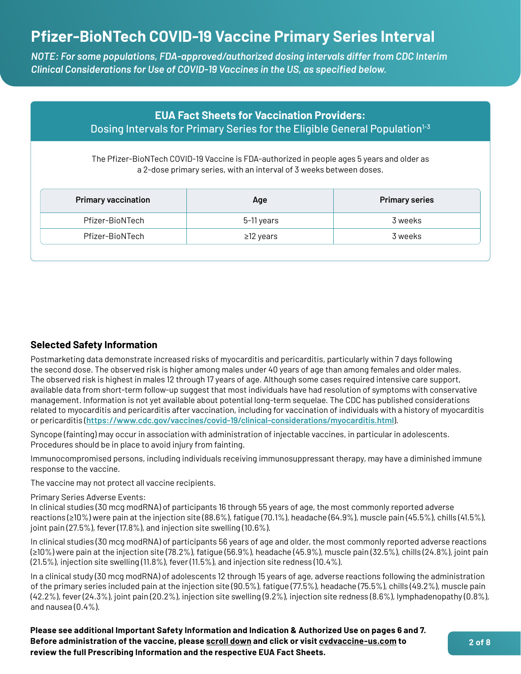### **Pfizer-BioNTech COVID-19 Vaccine Primary Series Interval**

*NOTE: For some populations, FDA-approved/authorized dosing intervals differ from CDC Interim Clinical Considerations for Use of COVID-19 Vaccines in the US, as specified below.*

| <b>EUA Fact Sheets for Vaccination Providers:</b><br>Dosing Intervals for Primary Series for the Eligible General Population <sup>1-3</sup><br>The Pfizer-BioNTech COVID-19 Vaccine is FDA-authorized in people ages 5 years and older as<br>a 2-dose primary series, with an interval of 3 weeks between doses. |            |                                  |  |  |
|------------------------------------------------------------------------------------------------------------------------------------------------------------------------------------------------------------------------------------------------------------------------------------------------------------------|------------|----------------------------------|--|--|
|                                                                                                                                                                                                                                                                                                                  |            |                                  |  |  |
| <b>Primary vaccination</b><br>Pfizer-BioNTech                                                                                                                                                                                                                                                                    | 5-11 years | <b>Primary series</b><br>3 weeks |  |  |

### **Selected Safety Information**

Postmarketing data demonstrate increased risks of myocarditis and pericarditis, particularly within 7 days following the second dose. The observed risk is higher among males under 40 years of age than among females and older males. The observed risk is highest in males 12 through 17 years of age. Although some cases required intensive care support, available data from short-term follow-up suggest that most individuals have had resolution of symptoms with conservative management. Information is not yet available about potential long-term sequelae. The CDC has published considerations related to myocarditis and pericarditis after vaccination, including for vaccination of individuals with a history of myocarditis or pericarditis (**https://www.cdc.gov/vaccines/covid-19/clinical-considerations/myocarditis.html**).

Syncope (fainting) may occur in association with administration of injectable vaccines, in particular in adolescents. Procedures should be in place to avoid injury from fainting.

Immunocompromised persons, including individuals receiving immunosuppressant therapy, may have a diminished immune response to the vaccine.

The vaccine may not protect all vaccine recipients.

#### Primary Series Adverse Events:

In clinical studies (30 mcg modRNA) of participants 16 through 55 years of age, the most commonly reported adverse reactions (≥10%) were pain at the injection site (88.6%), fatigue (70.1%), headache (64.9%), muscle pain (45.5%), chills (41.5%), joint pain (27.5%), fever (17.8%), and injection site swelling (10.6%).

In clinical studies (30 mcg modRNA) of participants 56 years of age and older, the most commonly reported adverse reactions (≥10%) were pain at the injection site (78.2%), fatigue (56.9%), headache (45.9%), muscle pain (32.5%), chills (24.8%), joint pain (21.5%), injection site swelling (11.8%), fever (11.5%), and injection site redness (10.4%).

In a clinical study (30 mcg modRNA) of adolescents 12 through 15 years of age, adverse reactions following the administration of the primary series included pain at the injection site (90.5%), fatigue (77.5%), headache (75.5%), chills (49.2%), muscle pain (42.2%), fever (24.3%), joint pain (20.2%), injection site swelling (9.2%), injection site redness (8.6%), lymphadenopathy (0.8%), and nausea (0.4%).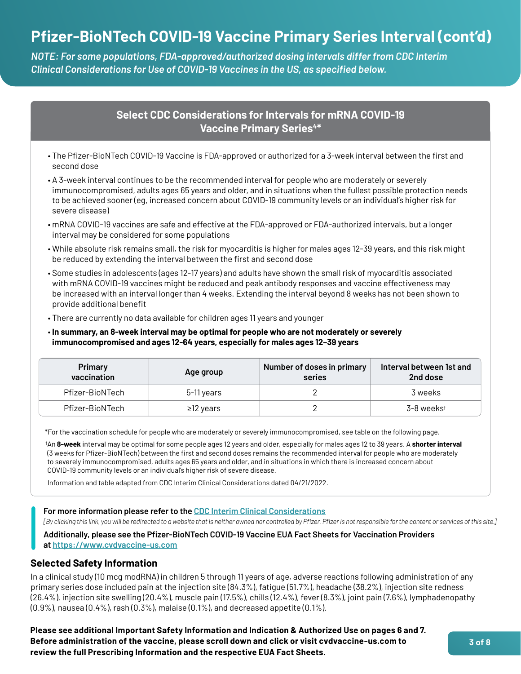# **Pfizer-BioNTech COVID-19 Vaccine Primary Series Interval (cont'd)**

*NOTE: For some populations, FDA-approved/authorized dosing intervals differ from CDC Interim Clinical Considerations for Use of COVID-19 Vaccines in the US, as specified below.*

### **Select CDC Considerations for Intervals for mRNA COVID-19 Vaccine Primary Series<sup>4\*</sup>**

- The Pfizer-BioNTech COVID-19 Vaccine is FDA-approved or authorized for a 3-week interval between the first and second dose
- A 3-week interval continues to be the recommended interval for people who are moderately or severely immunocompromised, adults ages 65 years and older, and in situations when the fullest possible protection needs to be achieved sooner (eg, increased concern about COVID-19 community levels or an individual's higher risk for severe disease)
- mRNA COVID-19 vaccines are safe and effective at the FDA-approved or FDA-authorized intervals, but a longer interval may be considered for some populations
- While absolute risk remains small, the risk for myocarditis is higher for males ages 12-39 years, and this risk might be reduced by extending the interval between the first and second dose
- Some studies in adolescents (ages 12-17 years) and adults have shown the small risk of myocarditis associated with mRNA COVID-19 vaccines might be reduced and peak antibody responses and vaccine effectiveness may be increased with an interval longer than 4 weeks. Extending the interval beyond 8 weeks has not been shown to provide additional benefit
- There are currently no data available for children ages 11 years and younger
- **In summary, an 8-week interval may be optimal for people who are not moderately or severely immunocompromised and ages 12-64 years, especially for males ages 12–39 years**

| Primary<br>vaccination | Age group       | Number of doses in primary<br>series | Interval between 1st and<br>2nd dose |
|------------------------|-----------------|--------------------------------------|--------------------------------------|
| Pfizer-BioNTech        | 5-11 years      |                                      | 3 weeks                              |
| Pfizer-BioNTech        | $\geq$ 12 years |                                      | 3-8 weekst                           |

\*For the vaccination schedule for people who are moderately or severely immunocompromised, see table on the following page.

† An **8-week** interval may be optimal for some people ages 12 years and older, especially for males ages 12 to 39 years. A **shorter interval**  (3 weeks for Pfizer-BioNTech) between the first and second doses remains the recommended interval for people who are moderately to severely immunocompromised, adults ages 65 years and older, and in situations in which there is increased concern about COVID-19 community levels or an individual's higher risk of severe disease.

Information and table adapted from CDC Interim Clinical Considerations dated 04/21/2022.

#### **For more information please refer to the [CDC Interim Clinical Considerations](https://www.cdc.gov/vaccines/covid-19/clinical-considerations/covid-19-vaccines-us.html)**

*[By clicking this link, you will be redirected to a website that is neither owned nor controlled by Pfizer. Pfizer is not responsible for the content or services of this site.]*

**Additionally, please see the Pfizer-BioNTech COVID-19 Vaccine EUA Fact Sheets for Vaccination Providers at <https://www.cvdvaccine-us.com>**

### **Selected Safety Information**

In a clinical study (10 mcg modRNA) in children 5 through 11 years of age, adverse reactions following administration of any primary series dose included pain at the injection site (84.3%), fatigue (51.7%), headache (38.2%), injection site redness (26.4%), injection site swelling (20.4%), muscle pain (17.5%), chills (12.4%), fever (8.3%), joint pain (7.6%), lymphadenopathy (0.9%), nausea (0.4%), rash (0.3%), malaise (0.1%), and decreased appetite (0.1%).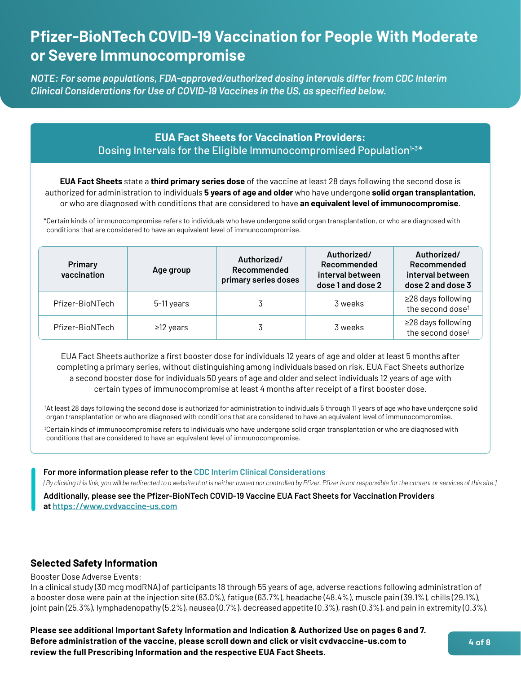# **Pfizer-BioNTech COVID-19 Vaccination for People With Moderate or Severe Immunocompromise**

*NOTE: For some populations, FDA-approved/authorized dosing intervals differ from CDC Interim Clinical Considerations for Use of COVID-19 Vaccines in the US, as specified below.*

### **EUA Fact Sheets for Vaccination Providers:** Dosing Intervals for the Eligible Immunocompromised Population<sup>1-3\*</sup>

**EUA Fact Sheets** state a **third primary series dose** of the vaccine at least 28 days following the second dose is authorized for administration to individuals **5 years of age and older** who have undergone **solid organ transplantation**, or who are diagnosed with conditions that are considered to have **an equivalent level of immunocompromise**.

\*Certain kinds of immunocompromise refers to individuals who have undergone solid organ transplantation, or who are diagnosed with conditions that are considered to have an equivalent level of immunocompromise.

| Primary<br>vaccination | Age group       | Authorized/<br>Recommended<br>primary series doses | Authorized/<br>Recommended<br>interval between<br>dose 1 and dose 2 | Authorized/<br>Recommended<br>interval between<br>dose 2 and dose 3 |
|------------------------|-----------------|----------------------------------------------------|---------------------------------------------------------------------|---------------------------------------------------------------------|
| Pfizer-BioNTech        | 5-11 years      |                                                    | 3 weeks                                                             | ≥28 days following<br>the second dose <sup>t</sup>                  |
| Pfizer-BioNTech        | $\geq$ 12 years |                                                    | 3 weeks                                                             | ≥28 days following<br>the second dose <sup>#</sup>                  |

EUA Fact Sheets authorize a first booster dose for individuals 12 years of age and older at least 5 months after completing a primary series, without distinguishing among individuals based on risk. EUA Fact Sheets authorize a second booster dose for individuals 50 years of age and older and select individuals 12 years of age with certain types of immunocompromise at least 4 months after receipt of a first booster dose.

† At least 28 days following the second dose is authorized for administration to individuals 5 through 11 years of age who have undergone solid organ transplantation or who are diagnosed with conditions that are considered to have an equivalent level of immunocompromise.

‡ Certain kinds of immunocompromise refers to individuals who have undergone solid organ transplantation or who are diagnosed with conditions that are considered to have an equivalent level of immunocompromise.

**For more information please refer to the [CDC Interim Clinical Considerations](https://www.cdc.gov/vaccines/covid-19/clinical-considerations/covid-19-vaccines-us.html)**

*[By clicking this link, you will be redirected to a website that is neither owned nor controlled by Pfizer. Pfizer is not responsible for the content or services of this site.]*

**Additionally, please see the Pfizer-BioNTech COVID-19 Vaccine EUA Fact Sheets for Vaccination Providers at <https://www.cvdvaccine-us.com>**

### **Selected Safety Information**

Booster Dose Adverse Events:

In a clinical study (30 mcg modRNA) of participants 18 through 55 years of age, adverse reactions following administration of a booster dose were pain at the injection site (83.0%), fatigue (63.7%), headache (48.4%), muscle pain (39.1%), chills (29.1%), joint pain (25.3%), lymphadenopathy (5.2%), nausea (0.7%), decreased appetite (0.3%), rash (0.3%), and pain in extremity (0.3%).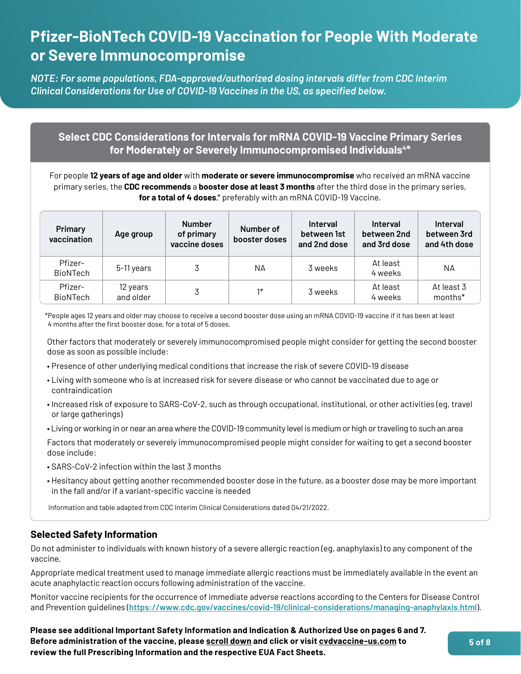# **Pfizer-BioNTech COVID-19 Vaccination for People With Moderate or Severe Immunocompromise**

*NOTE: For some populations, FDA-approved/authorized dosing intervals differ from CDC Interim Clinical Considerations for Use of COVID-19 Vaccines in the US, as specified below.*

### **Select CDC Considerations for Intervals for mRNA COVID-19 Vaccine Primary Series for Moderately or Severely Immunocompromised Individuals4\***

For people **12 years of age and older** with **moderate or severe immunocompromise** who received an mRNA vaccine primary series, the **CDC recommends** a **booster dose at least 3 months** after the third dose in the primary series, **for a total of 4 doses**,\* preferably with an mRNA COVID-19 Vaccine.

| Primary<br>vaccination     | Age group             | <b>Number</b><br>of primary<br>vaccine doses | Number of<br>booster doses | <b>Interval</b><br>between 1st<br>and 2nd dose | <b>Interval</b><br>between 2nd<br>and 3rd dose | <b>Interval</b><br>between 3rd<br>and 4th dose |
|----------------------------|-----------------------|----------------------------------------------|----------------------------|------------------------------------------------|------------------------------------------------|------------------------------------------------|
| Pfizer-<br><b>BioNTech</b> | 5-11 years            |                                              | NА                         | 3 weeks                                        | At least<br>4 weeks                            | NА                                             |
| Pfizer-<br><b>BioNTech</b> | 12 years<br>and older |                                              | $1*$                       | 3 weeks                                        | At least<br>4 weeks                            | At least 3<br>months*                          |

\*People ages 12 years and older may choose to receive a second booster dose using an mRNA COVID-19 vaccine if it has been at least 4 months after the first booster dose, for a total of 5 doses.

Other factors that moderately or severely immunocompromised people might consider for getting the second booster dose as soon as possible include:

- Presence of other underlying medical conditions that increase the risk of severe COVID-19 disease
- Living with someone who is at increased risk for severe disease or who cannot be vaccinated due to age or contraindication
- Increased risk of exposure to SARS-CoV-2, such as through occupational, institutional, or other activities (eg, travel or large gatherings)
- Living or working in or near an area where the COVID-19 community level is medium or high or traveling to such an area

Factors that moderately or severely immunocompromised people might consider for waiting to get a second booster dose include:

- SARS-CoV-2 infection within the last 3 months
- Hesitancy about getting another recommended booster dose in the future, as a booster dose may be more important in the fall and/or if a variant-specific vaccine is needed

Information and table adapted from CDC Interim Clinical Considerations dated 04/21/2022.

### **Selected Safety Information**

Do not administer to individuals with known history of a severe allergic reaction (eg, anaphylaxis) to any component of the vaccine.

Appropriate medical treatment used to manage immediate allergic reactions must be immediately available in the event an acute anaphylactic reaction occurs following administration of the vaccine.

Monitor vaccine recipients for the occurrence of immediate adverse reactions according to the Centers for Disease Control and Prevention guidelines (**https://www.cdc.gov/vaccines/covid-19/clinical-considerations/managing-anaphylaxis.html**).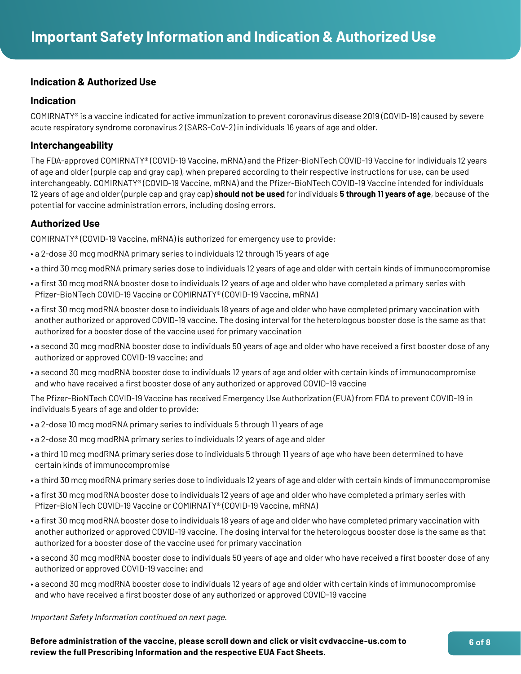### **Indication & Authorized Use**

### **Indication**

COMIRNATY® is a vaccine indicated for active immunization to prevent coronavirus disease 2019 (COVID-19) caused by severe acute respiratory syndrome coronavirus 2 (SARS-CoV-2) in individuals 16 years of age and older.

### **Interchangeability**

The FDA-approved COMIRNATY® (COVID-19 Vaccine, mRNA) and the Pfizer-BioNTech COVID-19 Vaccine for individuals 12 years of age and older (purple cap and gray cap), when prepared according to their respective instructions for use, can be used interchangeably. COMIRNATY® (COVID-19 Vaccine, mRNA) and the Pfizer-BioNTech COVID-19 Vaccine intended for individuals 12 years of age and older (purple cap and gray cap) **should not be used** for individuals **5 through 11 years of age**, because of the potential for vaccine administration errors, including dosing errors.

### **Authorized Use**

COMIRNATY® (COVID-19 Vaccine, mRNA) is authorized for emergency use to provide:

- a 2-dose 30 mcg modRNA primary series to individuals 12 through 15 years of age
- a third 30 mcg modRNA primary series dose to individuals 12 years of age and older with certain kinds of immunocompromise
- a first 30 mcg modRNA booster dose to individuals 12 years of age and older who have completed a primary series with Pfizer-BioNTech COVID-19 Vaccine or COMIRNATY® (COVID-19 Vaccine, mRNA)
- a first 30 mcg modRNA booster dose to individuals 18 years of age and older who have completed primary vaccination with another authorized or approved COVID-19 vaccine. The dosing interval for the heterologous booster dose is the same as that authorized for a booster dose of the vaccine used for primary vaccination
- a second 30 mcg modRNA booster dose to individuals 50 years of age and older who have received a first booster dose of any authorized or approved COVID-19 vaccine; and
- a second 30 mcg modRNA booster dose to individuals 12 years of age and older with certain kinds of immunocompromise and who have received a first booster dose of any authorized or approved COVID-19 vaccine

The Pfizer-BioNTech COVID-19 Vaccine has received Emergency Use Authorization (EUA) from FDA to prevent COVID-19 in individuals 5 years of age and older to provide:

- a 2-dose 10 mcg modRNA primary series to individuals 5 through 11 years of age
- a 2-dose 30 mcg modRNA primary series to individuals 12 years of age and older
- a third 10 mcg modRNA primary series dose to individuals 5 through 11 years of age who have been determined to have certain kinds of immunocompromise
- a third 30 mcg modRNA primary series dose to individuals 12 years of age and older with certain kinds of immunocompromise
- a first 30 mcg modRNA booster dose to individuals 12 years of age and older who have completed a primary series with Pfizer-BioNTech COVID-19 Vaccine or COMIRNATY® (COVID-19 Vaccine, mRNA)
- a first 30 mcg modRNA booster dose to individuals 18 years of age and older who have completed primary vaccination with another authorized or approved COVID-19 vaccine. The dosing interval for the heterologous booster dose is the same as that authorized for a booster dose of the vaccine used for primary vaccination
- a second 30 mcg modRNA booster dose to individuals 50 years of age and older who have received a first booster dose of any authorized or approved COVID-19 vaccine; and
- a second 30 mcg modRNA booster dose to individuals 12 years of age and older with certain kinds of immunocompromise and who have received a first booster dose of any authorized or approved COVID-19 vaccine

Important Safety Information continued on next page.

**Before administration of the vaccine, please [scroll down](#page-6-0) and click or visit [cvdvaccine-us.com](http://cvdvaccine-us.com) to review the full Prescribing Information and the respective EUA Fact Sheets.**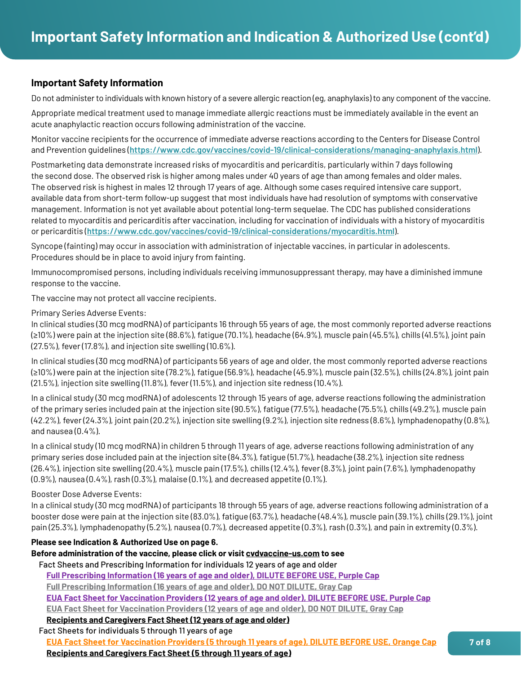### <span id="page-6-0"></span>**Important Safety Information**

Do not administer to individuals with known history of a severe allergic reaction (eg, anaphylaxis) to any component of the vaccine.

Appropriate medical treatment used to manage immediate allergic reactions must be immediately available in the event an acute anaphylactic reaction occurs following administration of the vaccine.

Monitor vaccine recipients for the occurrence of immediate adverse reactions according to the Centers for Disease Control and Prevention guidelines (**https://www.cdc.gov/vaccines/covid-19/clinical-considerations/managing-anaphylaxis.html**).

Postmarketing data demonstrate increased risks of myocarditis and pericarditis, particularly within 7 days following the second dose. The observed risk is higher among males under 40 years of age than among females and older males. The observed risk is highest in males 12 through 17 years of age. Although some cases required intensive care support, available data from short-term follow-up suggest that most individuals have had resolution of symptoms with conservative management. Information is not yet available about potential long-term sequelae. The CDC has published considerations related to myocarditis and pericarditis after vaccination, including for vaccination of individuals with a history of myocarditis or pericarditis (**https://www.cdc.gov/vaccines/covid-19/clinical-considerations/myocarditis.html**).

Syncope (fainting) may occur in association with administration of injectable vaccines, in particular in adolescents. Procedures should be in place to avoid injury from fainting.

Immunocompromised persons, including individuals receiving immunosuppressant therapy, may have a diminished immune response to the vaccine.

The vaccine may not protect all vaccine recipients.

Primary Series Adverse Events:

In clinical studies (30 mcg modRNA) of participants 16 through 55 years of age, the most commonly reported adverse reactions (≥10%) were pain at the injection site (88.6%), fatigue (70.1%), headache (64.9%), muscle pain (45.5%), chills (41.5%), joint pain (27.5%), fever (17.8%), and injection site swelling (10.6%).

In clinical studies (30 mcg modRNA) of participants 56 years of age and older, the most commonly reported adverse reactions (≥10%) were pain at the injection site (78.2%), fatigue (56.9%), headache (45.9%), muscle pain (32.5%), chills (24.8%), joint pain (21.5%), injection site swelling (11.8%), fever (11.5%), and injection site redness (10.4%).

In a clinical study (30 mcg modRNA) of adolescents 12 through 15 years of age, adverse reactions following the administration of the primary series included pain at the injection site (90.5%), fatigue (77.5%), headache (75.5%), chills (49.2%), muscle pain (42.2%), fever (24.3%), joint pain (20.2%), injection site swelling (9.2%), injection site redness (8.6%), lymphadenopathy (0.8%), and nausea (0.4%).

In a clinical study (10 mcg modRNA) in children 5 through 11 years of age, adverse reactions following administration of any primary series dose included pain at the injection site (84.3%), fatigue (51.7%), headache (38.2%), injection site redness (26.4%), injection site swelling (20.4%), muscle pain (17.5%), chills (12.4%), fever (8.3%), joint pain (7.6%), lymphadenopathy (0.9%), nausea (0.4%), rash (0.3%), malaise (0.1%), and decreased appetite (0.1%).

#### Booster Dose Adverse Events:

In a clinical study (30 mcg modRNA) of participants 18 through 55 years of age, adverse reactions following administration of a booster dose were pain at the injection site (83.0%), fatigue (63.7%), headache (48.4%), muscle pain (39.1%), chills (29.1%), joint pain (25.3%), lymphadenopathy (5.2%), nausea (0.7%), decreased appetite (0.3%), rash (0.3%), and pain in extremity (0.3%).

### **Please see Indication & Authorized Use on page 6.**

### **Before administration of the vaccine, please click or visit [cvdvaccine-us.com](http://cvdvaccine-us.com) to see**

Fact Sheets and Prescribing Information for individuals 12 years of age and older

**[Full Prescribing Information \(16 years of age and older\), DILUTE BEFORE USE, Purple Cap](https://labeling.pfizer.com/ShowLabeling.aspx?id=15623&format=pdf)**

**[Full Prescribing Information \(16 years of age and older\), DO NOT DILUTE, Gray Cap](https://labeling.pfizer.com/ShowLabeling.aspx?id=16351&format=pdf)**

**[EUA Fact Sheet for Vaccination Providers \(12 years of age and older\), DILUTE BEFORE USE, Purple Cap](http://labeling.pfizer.com/ShowLabeling.aspx?id=14471&format=pdf)**

**[EUA Fact Sheet for Vaccination Providers \(12 years of age and older\), DO NOT DILUTE, Gray Cap](https://labeling.pfizer.com/ShowLabeling.aspx?id=16351&format=pdf)**

### **[Recipients and Caregivers Fact Sheet](https://labeling.pfizer.com/ShowLabeling.aspx?id=14472&format=pdf) (12 years of age and older)**

Fact Sheets for individuals 5 through 11 years of age

**[EUA Fact Sheet for Vaccination Providers \(5 through 11 years of age\), DILUTE BEFORE USE, Orange Cap](http://labeling.pfizer.com/ShowLabeling.aspx?id=16073&format=pdf)**

**[Recipients and Caregivers Fact Sheet \(5 through 11 years of age\)](http://labeling.pfizer.com/ShowLabeling.aspx?id=16074&format=pdf)**